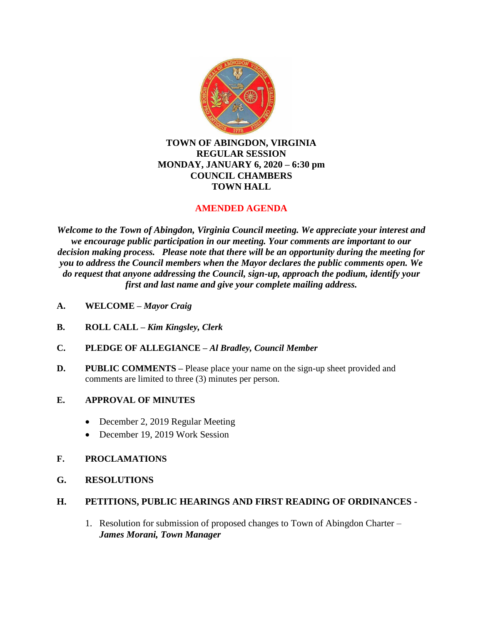

# **TOWN OF ABINGDON, VIRGINIA REGULAR SESSION MONDAY, JANUARY 6, 2020 – 6:30 pm COUNCIL CHAMBERS TOWN HALL**

# **AMENDED AGENDA**

*Welcome to the Town of Abingdon, Virginia Council meeting. We appreciate your interest and we encourage public participation in our meeting. Your comments are important to our decision making process. Please note that there will be an opportunity during the meeting for you to address the Council members when the Mayor declares the public comments open. We do request that anyone addressing the Council, sign-up, approach the podium, identify your first and last name and give your complete mailing address.*

- **A. WELCOME –** *Mayor Craig*
- **B. ROLL CALL –** *Kim Kingsley, Clerk*
- **C. PLEDGE OF ALLEGIANCE –** *Al Bradley, Council Member*
- **D.** PUBLIC COMMENTS Please place your name on the sign-up sheet provided and comments are limited to three (3) minutes per person.
- **E. APPROVAL OF MINUTES** 
	- December 2, 2019 Regular Meeting
	- December 19, 2019 Work Session
- **F. PROCLAMATIONS**
- **G. RESOLUTIONS**

# **H. PETITIONS, PUBLIC HEARINGS AND FIRST READING OF ORDINANCES -**

1. Resolution for submission of proposed changes to Town of Abingdon Charter – *James Morani, Town Manager*